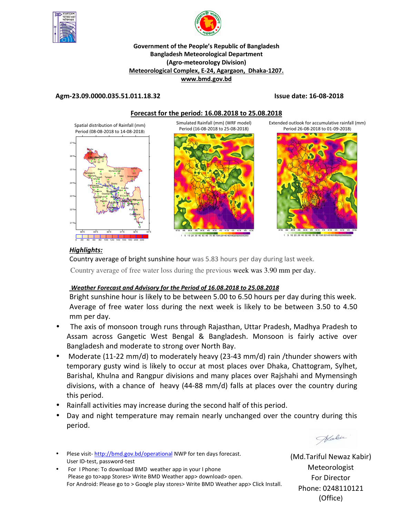



### **Government of the People's Republic of Bangladesh Bangladesh Meteorological Department (Agro-meteorology Division) Meteorological Complex, E-24, Agargaon, Dhaka-1207. www.bmd.gov.bd**

# **Agm-23.09.0000.035.51.011.18.32 Issue date: 16-08-2018**



# *Highlights:*

Country average of bright sunshine hour was 5.83 hours per day during last week.

Country average of free water loss during the previous week was 3.90 mm per day.

# *Weather Forecast and Advisory for the Period of 16.08.2018 to 25.08.2018*

Bright sunshine hour is likely to be between 5.00 to 6.50 hours per day during this week. Average of free water loss during the next week is likely to be between 3.50 to 4.50 mm per day.

- The axis of monsoon trough runs through Rajasthan, Uttar Pradesh, Madhya Pradesh to Assam across Gangetic West Bengal & Bangladesh. Monsoon is fairly active over Bangladesh and moderate to strong over North Bay.
- Moderate (11-22 mm/d) to moderately heavy (23-43 mm/d) rain /thunder showers with temporary gusty wind is likely to occur at most places over Dhaka, Chattogram, Sylhet, Barishal, Khulna and Rangpur divisions and many places over Rajshahi and Mymensingh divisions, with a chance of heavy (44-88 mm/d) falls at places over the country during this period.
- Rainfall activities may increase during the second half of this period.
- Day and night temperature may remain nearly unchanged over the country during this period.

Habir

- Plese visit- http://bmd.gov.bd/operational NWP for ten days forecast. User ID-test, password-test
- For I Phone: To download BMD weather app in your I phone Please go to>app Stores> Write BMD Weather app> download> open. For Android: Please go to > Google play stores> Write BMD Weather app> Click Install.

(Md.Tariful Newaz Kabir) Meteorologist For Director Phone: 0248110121 (Office)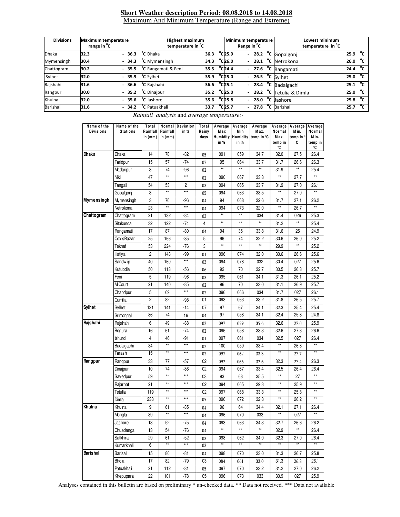#### **Short Weather description Period: 08.08.2018 to 14.08.2018** Maximum And Minimum Temperature (Range and Extreme)

| <b>Divisions</b><br><b>Maximum temperature</b><br>range in <sup>o</sup> C |      |  | <b>Highest maximum</b><br>temperature in <sup>o</sup> C |  |                                 |      | Minimum temperature<br>Range in <sup>v</sup> C |                              | Lowest minimum<br>temperature in <sup>o</sup> C |  |                                       |      |              |
|---------------------------------------------------------------------------|------|--|---------------------------------------------------------|--|---------------------------------|------|------------------------------------------------|------------------------------|-------------------------------------------------|--|---------------------------------------|------|--------------|
| <b>Dhaka</b>                                                              | 32.3 |  | $-36.3$                                                 |  | <sup>o</sup> C Dhaka            | 36.3 |                                                | $^{\circ}$ C25.9             |                                                 |  | $-28.2$ <sup>o</sup> C Gopalgonj      | 25.9 | $^{\circ}$ c |
| Mymensingh                                                                | 30.4 |  | $-34.3$                                                 |  | <sup>o</sup> C Mymensingh       | 34.3 |                                                | °C 26.0                      |                                                 |  | $-28.1$ <sup>o</sup> C Netrokona      | 26.0 | °c           |
| Chattogram                                                                | 30.2 |  | $-35.5$                                                 |  | <sup>o</sup> C Rangamati & Feni | 35.5 |                                                | $^{\circ}$ C24.4             |                                                 |  | $-27.6$ <sup>o</sup> C Rangamati      | 24.4 | °c           |
| Sylhet                                                                    | 32.0 |  | $-35.9$                                                 |  | <sup>o</sup> C Sylhet           | 35.9 |                                                | $^{\circ}$ C25.0             |                                                 |  | $-26.5$ C Sylhet                      | 25.0 | °c           |
| Rajshahi                                                                  | 31.6 |  | $-36.6$                                                 |  | <sup>o</sup> C Rajshahi         | 36.6 |                                                | $^{\circ}$ C <sub>25.1</sub> |                                                 |  | - $28.4 °C$ Badalgachi                | 25.1 | $^{\circ}$ c |
| Rangpur                                                                   | 30.0 |  | $-35.2$                                                 |  | <sup>o</sup> C Dinajpur         | 35.2 |                                                | °C 25.0                      |                                                 |  | $-$ 28.2 $^{\circ}$ C Tetulia & Dimla | 25.0 | $^{\circ}$ c |
| Khulna                                                                    | 32.0 |  | $-35.6$                                                 |  | <sup>o</sup> C Jashore          | 35.6 |                                                | $^{\circ}$ C25.8             |                                                 |  | $-28.0$ <sup>o</sup> C Jashore        | 25.8 | °c           |
| Barishal                                                                  | 31.6 |  | $-34.2$                                                 |  | <sup>o</sup> C Patuakhali       | 33.7 |                                                | $^{\circ}$ C25.7             |                                                 |  | - 27.8 °C Barishal                    | 25.7 | $^{\circ}$ c |

 *Rainfall analysis* and *average temperature:-*

| Name of the<br><b>Divisions</b> | Name of the<br><b>Stations</b> | Total<br>Rainfall<br>in $(mm)$ | Normal<br>Rainfall<br>in $(mm)$ | Deviation<br>in % | Total<br>Rainy<br>days | Average<br>Max<br>in % | Average<br>M in<br><b>Humidity Humidity</b><br>in % | Average<br>M ax.<br>temp in °C | Average<br>Normal<br>M ax.<br>temp in<br>°C | Average<br>M in.<br>temp in '<br>C | Average<br>Normal<br>M in.<br>temp in<br>°C |
|---------------------------------|--------------------------------|--------------------------------|---------------------------------|-------------------|------------------------|------------------------|-----------------------------------------------------|--------------------------------|---------------------------------------------|------------------------------------|---------------------------------------------|
| Dhaka                           | Dhaka                          | 14                             | 78                              | -82               | 05                     | 091                    | 059                                                 | 34.7                           | 32.0                                        | 27.5                               | 26.4                                        |
|                                 | Faridpur                       | 15                             | 57                              | $-74$             | 07                     | 95                     | 064                                                 | 33.7                           | 31.7                                        | 26.6                               | 26.3                                        |
|                                 | Madaripur                      | 3                              | 74                              | $-96$             | 02                     | **                     | $\star\star$                                        | **                             | 31.9                                        | $^{\star\star}$                    | 25.4                                        |
|                                 | Nikli                          | 47                             | $\star\star$                    | ***               | 02                     | 090                    | 067                                                 | 33.8                           | $\star\star$                                | 27.7                               | $\star\star$                                |
|                                 | Tangail                        | 54                             | 53                              | 2                 | 03                     | 094                    | 065                                                 | 33.7                           | 31.9                                        | 27.0                               | 26.1                                        |
|                                 | Gopalgoni                      | 3                              | $\star\star$                    | ***               | 05                     | 094                    | 063                                                 | 33.5                           | $\star\star$                                | 27.0                               | $\star\star$                                |
| <b>Mymensingh</b>               | Mymensingh                     | 3                              | 76                              | -96               | 04                     | 94                     | 068                                                 | 32.6                           | 31.7                                        | 27.1                               | 26.2                                        |
|                                 | Netrokona                      | 23                             | $\star\star$                    | ***               | 04                     | 094                    | 073                                                 | 32.0                           | $\star\star$                                | 26.7                               | **                                          |
| Chattogram                      | Chattogram                     | 21                             | 132                             | -84               | 03                     | **                     | $\star\star$                                        | 034                            | 31.4                                        | 026                                | 25.3                                        |
|                                 | Sitakunda                      | 32                             | 122                             | $-74$             | 4                      | **                     | $\star\star$                                        | **                             | 31.2                                        | $\star\star$                       | 25.4                                        |
|                                 | Rangamati                      | 17                             | 87                              | -80               | 04                     | 94                     | 35                                                  | 33.8                           | 31.6                                        | 25                                 | 24.9                                        |
|                                 | Cox'sBazar                     | 25                             | 166                             | $-85$             | 5                      | 96                     | 74                                                  | 32.2                           | 30.6                                        | 26.0                               | 25.2                                        |
|                                 | Teknaf                         | 53                             | 224                             | $-76$             | 3                      | **                     | $\star\star$                                        | $\star\star$                   | 29.9                                        | $\star\star$                       | 25.2                                        |
|                                 | Hatiya                         | $\overline{2}$                 | 143                             | $-99$             | 01                     | 096                    | 074                                                 | 32.0                           | 30.6                                        | 26.6                               | 25.6                                        |
|                                 | Sandw ip                       | 40                             | 160                             | ***               | 03                     | 094                    | 078                                                 | 032                            | 30.4                                        | 027                                | 25.6                                        |
|                                 | Kutubdia                       | 50                             | 113                             | -56               | 06                     | 92                     | 70                                                  | 32.7                           | 30.5                                        | 26.3                               | 25.7                                        |
|                                 | Feni                           | 5                              | 119                             | $-96$             | 03                     | 095                    | 061                                                 | 34.1                           | 31.3                                        | 26.1                               | 25.2                                        |
|                                 | M.Court                        | 21                             | 140                             | -85               | 02                     | 96                     | 70                                                  | 33.0                           | 31.1                                        | 26.9                               | 25.7                                        |
|                                 | Chandpur                       | 5                              | 69                              | $***$             | 02                     | 096                    | 066                                                 | 034                            | 31.7                                        | 027                                | 26.1                                        |
|                                 | Cumilla                        | 2                              | 82                              | -98               | 01                     | 093                    | 063                                                 | 33.2                           | 31.8                                        | 26.5                               | 25.7                                        |
| <b>Sylhet</b>                   | Sylhet                         | 121                            | 141                             | $-14$             | 07                     | 97                     | 67                                                  | 34.1                           | 32.3                                        | 25.4                               | 25.4                                        |
|                                 | Srimongal                      | 86                             | 74                              | 16                | 04                     | 97                     | 058                                                 | 34.1                           | 32.4                                        | 25.8                               | 24.8                                        |
| Rajshahi                        | Rajshahi                       | 6                              | 49                              | $-88$             | 02                     | 097                    | 059                                                 | 35.6                           | 32.6                                        | 27.0                               | 25.9                                        |
|                                 | Bogura                         | 16                             | 61                              | $-74$             | 02                     | 096                    | 058                                                 | 33.3                           | 32.6                                        | 27.3                               | 26.6                                        |
|                                 | Ishurdi                        | 4                              | 46                              | -91               | 01                     | 097                    | 061                                                 | 034                            | 32.5                                        | 027                                | 26.4                                        |
|                                 | Badalgachi                     | 34                             | $\star\star$                    | ***               | 02                     | 100                    | 059                                                 | 33.4                           | **                                          | 26.8                               | $\star\star$                                |
|                                 | Tarash                         | 15                             | $\star\star$                    | ***               | 02                     | 097                    | 062                                                 | 33.3                           | **                                          | 27.7                               | $\star\star$                                |
| Rangpur                         | Rangpur                        | 33                             | 77                              | -57               | 02                     | 092                    | 066                                                 | 32.6                           | 32.3                                        | 27.4                               | 26.3                                        |
|                                 | Dinajpur                       | 10                             | 74                              | $-86$             | 02                     | 094                    | 067                                                 | 33.4                           | 32.5                                        | 26.4                               | 26.4                                        |
|                                 | Sayedpur                       | 59                             | $^{\star\star}$                 | ***               | 03                     | 93                     | 68                                                  | 35.5                           | $\star\star$                                | 27                                 |                                             |
|                                 | Rajarhat                       | 21                             | $\star\star$                    | ***               | 02                     | 094                    | 065                                                 | 29.3                           | $\star\star$                                | 25.9                               | $\star\star$                                |
|                                 | Tetulia                        | 119                            | $\star\star$                    | ***               | 02                     | 097                    | 068                                                 | 33.3                           | $\star\star$                                | 25.8                               | $\star\star$                                |
|                                 | Dimla                          | 238                            | $\star\star$                    | ***               | 05                     | 096                    | 072                                                 | 32.8                           | **                                          | 26.2                               | $\star\star$                                |
| Khulna                          | Khulna                         | 9                              | 61                              | -85               | 04                     | 96                     | 64                                                  | 34.4                           | 32.1                                        | 27.1                               | 26.4                                        |
|                                 | Mongla                         | 39                             | $\star\star$                    | ***               | 04                     | 096                    | 070                                                 | 033                            | **                                          | 027                                |                                             |
|                                 | Jashore                        | 13                             | 52                              | $-75$             | 04                     | 093                    | 063                                                 | 34.3                           | 32.7                                        | 26.6                               | 26.2                                        |
|                                 | Chuadanga                      | 13                             | 54                              | $-76$             | 04                     | $\star\star$           | $^{\star\star}$                                     | $\star\star$                   | 32.9                                        | $^{\star\star}$                    | 26.4                                        |
|                                 | Satkhira                       | 29                             | 61                              | $-52$             | 03                     | 098                    | 062                                                 | 34.0                           | 32.3                                        | 27.0                               | 26.4                                        |
|                                 | Kumarkhali                     | 6                              | $^{\star\star}$                 | ***               | 03                     | **                     | $\star\star$                                        | $\star\star$                   | $\star\star$                                | $\star\star$                       | $\star\star$                                |
| Barishal                        | Barisal                        | 15                             | 80                              | -81               | 04                     | 098                    | 070                                                 | 33.0                           | 31.3                                        | 26.7                               | 25.8                                        |
|                                 | Bhola                          | 17                             | 82                              | -79               | 03                     | 084                    | 061                                                 | 33.0                           | 31.3                                        | 26.8                               | 26.1                                        |
|                                 | Patuakhali                     | 21                             | 112                             | -81               | 05                     | 097                    | 070                                                 | 33.2                           | 31.2                                        | 27.0                               | 26.2                                        |
|                                 | Khepupara                      | 22                             | 101                             | $-78$             | 05                     | 096                    | 073                                                 | 033                            | 30.9                                        | 027                                | 25.9                                        |

Analyses contained in this bulletin are based on preliminary \* un-checked data. \*\* Data not received. \*\*\* Data not available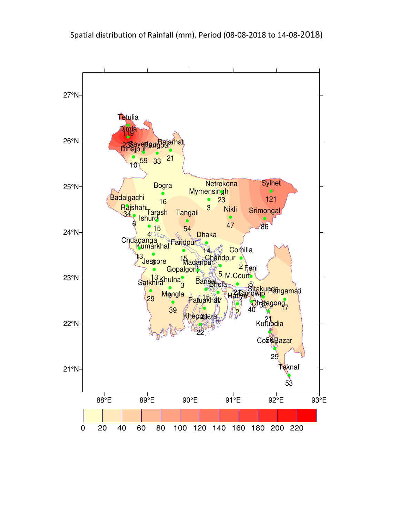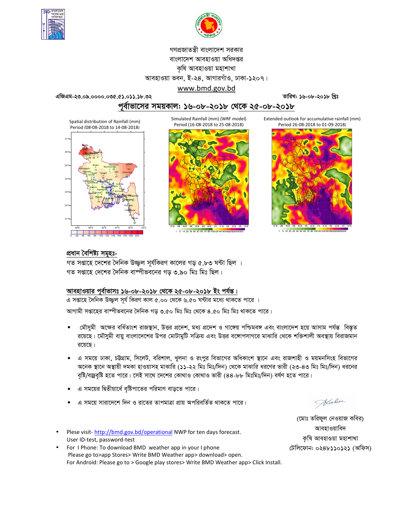



# গণপ্রজাতন্ত্রী বাংলাদেশ সরকার বাংলাদেশ আবহাওয়া অধিদপ্তর কৃষি আবহাওয়া মহাশাখা আবহাওয়া ভবন, ই-২৪, আগারগাঁও, ঢাকা-১২০৭।

এজিএম-২৩.০৯.০০০০.০৩৫.৫১.০১১.১৮.৩২

তারিখ: ১৬-০৮-২০১৮ খ্রিঃ

<u>পূর্বাভাসের সময়কাল: ১৬-০৮-২০১৮ থেকে ২৫-০৮-২০১৮</u>

www.bmd.gov.bd

Spatial distribution of Rainfall (mm) Period (08-08-2018 to 14-08-2018)



Simulated Rainfall (mm) (WRF model) Period (16-08-2018 to 25-08-2018)



10 20 30 40 50 60 70 80 10012014016

Extended outlook for accumulative rainfall (mm) Period 26-08-2018 to 01-09-2018)



5 10 20 30 40 50 60 70 80 10012014016011

## প্ৰধান বৈশিষ্ট্য সমূহঃ-

গত সপ্তাহে দেশের দৈনিক উজ্জ্বল সূর্যকিরণ কালের গড় ৫.৮৩ ঘন্টা ছিল । গত সপ্তাহে দেশের দৈনিক বাষ্পীভবনের গড ৩.৯০ মিঃ মিঃ ছিল।

# আবহাওয়ার পূর্বাভাসঃ ১৬-০৮-২০১৮ থেকে ২৫-০৮-২০১৮ ইং পর্যন্ত।

এ সপ্তাহে দৈনিক উজ্জুল সূর্য কিরণ কাল ৫.০০ থেকে ৬.৫০ ঘন্টার মধ্যে থাকতে পারে । আগামী সপ্তাহের বাম্পীভবনের দৈনিক গড় ৩.৫০ মিঃ মিঃ থেকে ৪.৫০ মিঃ মিঃ থাকতে পারে।

- মৌসুমী অক্ষের বর্ধিতাংশ রাজস্থান, উত্তর প্রদেশ, মধ্য প্রদেশ ও গাঙ্গেয় পশ্চিমবঙ্গ এবং বাংলাদেশ হয়ে আসাম পর্যন্ত বিস্তৃত রয়েছে। মৌসুমী বায়ু বাংলাদেশের উপর মোটামুটি সক্রিয় এবং উত্তর বঙ্গোপসাগরে মাঝারি থেকে শক্তিশালী অবস্থায় বিরাজমান রয়েছে।
- এ সময়ে ঢাকা, ঢট্টগ্রাম, সিলেট, বরিশাল, খুলনা ও রংপুর বিভাগের অধিকাংশ স্থানে এবং রাজশাহী ও ময়মনসিংহ বিভাগের অনেক স্থানে অস্থায়ী দমকা হাওয়াসহ মাঝারি (১১-২২ মিঃ মিঃ/দিন) থেকে মাঝারি ধরণের ভারী (২৩-৪৩ মিঃ মিঃ/দিন) ধরনের বৃষ্টি/বজ্রবৃষ্টি হতে পারে। সেই সাথে দেশের কোথাও কোথাও ভারী (৪৪-৮৮ মিঃমিঃ/দিন) বর্ষণ হতে পারে।
- এ সময়ের দ্বিতীয়ার্ধে বৃষ্টিপাতের পরিমাণ বাড়তে পারে।
- এ সময়ে সারাদেশে দিন ও রাতের তাপমাত্রা প্রায় অপরিবর্তিত থাকতে পারে।
- Plese visit-http://bmd.gov.bd/operational NWP for ten days forecast. User ID-test, password-test
- For I Phone: To download BMD weather app in your I phone Please go to>app Stores> Write BMD Weather app> download> open. For Android: Please go to > Google play stores> Write BMD Weather app> Click Install.

Halin

(মোঃ তরিফুল নেওয়াজ কবির) আবহাওয়াবিদ কৃষি আবহাওয়া মহাশাখা টেলিফোন: ০২৪৮১১০১২১ (অফিস)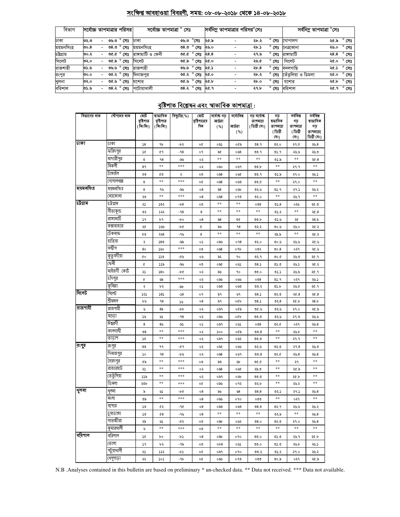# সংক্ষিপ্ত আবহাওয়া বিবরণী, সময়: ০৮-০৮-২০১৮ থেকে ১৪-০৮-২০১৮

| বিভাগ     |          |                          | সর্বোচ্চ তাপমাত্রার পরিসর | সৰ্বোচ্চ তাপমাত্ৰা ° সেঃ |                                           |              |      | সর্বনিম তাপমাত্রার পরিসর <sup>০</sup> সেঃ |                     |                    | সর্বনিম্ন তাপমাত্রা °সেঃ |                |
|-----------|----------|--------------------------|---------------------------|--------------------------|-------------------------------------------|--------------|------|-------------------------------------------|---------------------|--------------------|--------------------------|----------------|
| ঢাকা      | ৩২.৩     | $\sim$                   | তড.৩ $^{\circ}$ সেঃ       | ঢাকা                     | ৩৬.৩                                      | $^\circ$ সেঃ | ২৫.৯ | ২৮.২                                      | $^{\circ}$ সেঃ      | গোপালগ             | ২৫.৯                     | $^{\circ}$ সেঃ |
| ময়মনসিংহ | ರಿಂ. $8$ | $\overline{\phantom{0}}$ | ৩৪.৩ ° সেঃ                | ময়মনসিংহ                | ত $8.0^\circ$ সেঃ                         |              | ২৬.০ | ২৮.১                                      | $^{\circ}$ সেঃ      | নেত্ৰকোনা          | ২৬.০                     | $^{\circ}$ সেঃ |
| চউগ্ৰাম   | ৩০.২     |                          | ৩৫.৫ ° সেঃ                | রাঙ্গামাটি ও ফেনী        | ত $x \circ \sigma$ ঃ ২৪.৪                 |              |      | ২৭.৬                                      | $^{\circ}$ সেঃ      | রাসামাটি           | ২৪.৪                     | $^{\circ}$ সেঃ |
| সিলেট     | ৩২.০     |                          | ৩৫.৯ ° সেঃ                | সিলেট                    | <u>০৫.৯<math>^{\circ}</math> সেঃ</u> ২৫.০ |              |      | ২৬.৫                                      | $^{\circ}$ সেঃ      | সিলেট              | ২৫.০                     | $^{\circ}$ সেঃ |
| রাজশাহী   | ৩১.৬     | $\sim$                   | ৩৬.৬ ° সেঃ                | রাজশাহী                  | <u>তড.৬</u> ° সেঃ ২৫.১                    |              |      | 2b.8                                      | $^{\circ}$ সেঃ      | বদলগাছি            | ২৫.১ ° সেঃ               |                |
| রংপুর     | 00.0     |                          | ৩৫.২ ° সেঃ                | দিনাজপর                  | ৩৫.২ ° সেঃ                                |              | ২৫.০ | ২৮.২                                      | $^{\circ}$ সেঃ      | তেঁতুলিয়া ও ডিমলা | ২৫.০                     | $^{\circ}$ সেঃ |
| খুলনা     | ৩২.০     |                          | ৩৫.৬ ° সেঃ                | যশোর                     | ৩৫.৬ ° সেঃ                                |              | ২৫.৮ | ২৮.০                                      | $^{\circ}$ সেঃ      | যশোর               | ২৫.৮                     | $^{\circ}$ সেঃ |
| বরিশাল    | ৩১.৬     | $\sim$                   | ৩৪.২ ° সেঃ                | পটোয়াখালী               | 08.2 ° (78 20.9                           |              |      | ২৭.৮                                      | $^{\circ}$ সেঃ $\,$ | বরিশাল             |                          | ২৫.৭ ° সেঃ     |

# <u> বৃষ্টিপাত বিশ্লেষন এবং স্বাভাবিক তাপমাত্ৰা:</u>

| বিভাগের নাম | স্টেশনের নাম | মোট<br>বৃষ্টিশাত<br>(মিঃমিঃ) | ষাভাবিক<br>বৃষ্টিপাত<br>(মিঃমিঃ) | বিছ্যুতি( %) | মোট<br>বৃষ্টিশাতের<br>দিন | সৰ্বোষ্ক গড<br>আৰ্দ্ৰতা<br>( %) | সর্বোনিম্ন<br>আৰ্ঘতা<br>( %) | গড সৰ্বোষ্ক<br>তাপমাত্রা<br>( ডিগ্ৰী সেঃ) | গড<br>ষভাবিক<br>তাপমাত্রা<br>(ডিগ্ৰী | সৰ্বনিম্ন<br>গড<br>তাপমাত্রা<br>(ডিগ্ৰী | সর্বনিম্ন<br>ষাভাবিক<br>গড<br>তাপমাত্রা( |
|-------------|--------------|------------------------------|----------------------------------|--------------|---------------------------|---------------------------------|------------------------------|-------------------------------------------|--------------------------------------|-----------------------------------------|------------------------------------------|
|             |              |                              |                                  |              |                           |                                 |                              |                                           | (সঃ)                                 | (সঃ)                                    | ডিগ্ৰী সেঃ)                              |
| ঢাকা        | ঢাকা         | 38                           | ٩b                               | -12          | o¢                        | ০৯১                             | ০৫৯                          | 08.9                                      | ৩২.০                                 | ২৭.৫                                    | ২৬.8                                     |
|             | ফরিদপুর      | s¢                           | 69                               | $-98$        | o٩                        | ৯৫                              | ০৬৪                          | 00.9                                      | ৩১.৭                                 | ২৬.৬                                    | ২৬.৩                                     |
|             | মাদারীপুর    | $\circ$                      | 98                               | -৯৬          | ०२                        | $***$                           | **                           | **                                        | ৩১.৯                                 | **                                      | ২৫.8                                     |
|             | নিকলী        | 89                           | **                               | ***          | ०२                        | ০৯০                             | ০৬৭                          | ৩৩.৮                                      | **                                   | ২৭.৭                                    | **                                       |
|             | টাঙ্গাইল     | $^{68}$                      | ৫৩                               | ২            | ೲ                         | ం ని8                           | ০৬৫                          | ৩৩.৭                                      | ৩১.৯                                 | ২৭.০                                    | ২৬.১                                     |
|             | গোপালগজ্ঞ    | ৩                            | $\pm\pm$                         | ***          | o¢                        | 058                             | 0.90                         | ৩৩.৫                                      | $\pm\pm$                             | ২৭.০                                    | $***$                                    |
| ময়মনসিংহ   | ময়মনসিংহ    | ৩                            | ৭৬                               | -৯৬          | 08                        | $\delta$ 8                      | ০৬৮                          | ৩২.৬                                      | ৩১.৭                                 | ২৭.১                                    | ২৬.২                                     |
|             | নেত্ৰকোনা    | ২৩                           | **                               | ***          | 08                        | $\circ$ ನಿ8                     | ০৭৩                          | ७२.०                                      | $***$                                | ২৬.৭                                    | $***$                                    |
| চট্টগ্ৰাম   | ঢট্রগ্রাম    | ২১                           | ১৩২                              | -18          | ০৩                        | $***$                           | **                           | 008                                       | 05.8                                 | ০২৬                                     | ২৫.৩                                     |
|             | সীতাকুন্ড    | ৩২                           | ১২২                              | $-98$        | 8                         | $***$                           | $***$                        | $***$                                     | ৩১.২                                 | **                                      | 20.8                                     |
|             | রাঙ্গামার্টি | 76                           | ৮৭                               | -p0          | 08                        | ৯৪                              | ৩৫                           | 00.b                                      | 05.6                                 | ২৫                                      | ২৪.৯                                     |
|             | কক্সবাজার    | ২৫                           | ১৬৬                              | -10          | ¢                         | ৯৬                              | 98                           | ৩২.২                                      | ৩০.৬                                 | ২৬.০                                    | ২৫.২                                     |
|             | টেকনাফ       | ৫৩                           | ২২৪                              | - 95         | ৩                         | $**$                            | $***$                        | $***$                                     | ২৯.৯                                 | **                                      | ২৫.২                                     |
|             | হাতিয়া      | ২                            | 580                              | -৯৯          | ०১                        | ০৯৬                             | 098                          | ৩২.০                                      | 00.6                                 | ২৬.৬                                    | ২৫.৬                                     |
|             | সন্দ্বীপ     | 80                           | ১৬০                              | ***          | ೲ                         | $\circ$ ನಿ8                     | ०१৮                          | ০৩২                                       | 00.8                                 | ०२१                                     | ২৫.৬                                     |
|             | কুতুবদীয়া   | ¢о                           | ১১৩                              | -৫৬          | ০৬                        | ৯২                              | 90                           | ৩২.৭                                      | 0.00                                 | ২৬.৩                                    | ২৫.৭                                     |
|             | ফেনী         | ¢                            | ১১৯                              | -৯৬          | ೲ                         | ০৯৫                             | ০৬১                          | 08.5                                      | 0.0                                  | ২৬.১                                    | ২৫.২                                     |
|             | মাইজদী কোর্ট | ২১                           | 380                              | -66          | ०२                        | ৯৬                              | ۹٥                           | ৩৩.০                                      | د.ده                                 | ২৬.৯                                    | ২৫.৭                                     |
|             | চাঁদপুর      | ¢                            | ৬৯                               | ***          | ०२                        | ০৯৬                             | ০৬৬                          | 008                                       | ৩১.৭                                 | ०२१                                     | ২৬.১                                     |
|             | কুমিল্লা     | ২                            | ৮২                               | -94          | ०১                        | ಂನಿಂ                            | ೦೮೦                          | ৩৩.২                                      | ৩১.৮                                 | ২৬.৫                                    | ২৫.৭                                     |
| সিলেট       | সিলেট        | ১২১                          | 585                              | -১৪          | o٩                        | ৯৭                              | ৬৭                           | 08.5                                      | 0.50                                 | ২৫.৪                                    | ২৫.8                                     |
|             | শ্ৰীমঙ্গল    | ৮৬                           | 98                               | ১৬           | 08                        | ৯৭                              | oQb                          | 08.5                                      | ৩২. $8$                              | ২৫.৮                                    | 28.b                                     |
| রাজশাহী     | রাজশাইা      | ৬                            | 85                               | -pp          | ०२                        | ০৯৭                             | ০৫৯                          | ৩৫.৬                                      | ৩২৬                                  | ২৭.০                                    | ২৫.৯                                     |
|             | বগুডা        | ১৬                           | دی                               | $-98$        | ०२                        | ০৯৬                             | ০৫৮                          | ৩৩.৩                                      | ৩২.৬                                 | ২৭.৩                                    | ২৬.৬                                     |
|             | ঈশ্বরদী      | 8                            | 85                               | -৯১          | ०১                        | ০৯৭                             | ০৬১                          | 008                                       | ৩২.৫                                 | ०२१                                     | ২৬.৪                                     |
|             | বদলগাৰ্ঘী    | $\mathcal{O}8$               | **                               | ***          | ०२                        | ১০০                             | ০৫৯                          | 00.8                                      | $**$                                 | ২৬.৮                                    | $***$                                    |
|             | তাড়াশ       | s¢                           | $\pm\pm$                         | ***          | ०२                        | ০৯৭                             | ০৬২                          | 00.0                                      | $\pm\pm$                             | ২৭.৭                                    | $\ast\ast$                               |
| রংগুব       | রংপুর        | v                            | ۹۹                               | -৫৭          | ০২                        | ০৯২                             | ০৬৬                          | ৩২.৬                                      | ७२.७                                 | ২৭.৪                                    | ২৬.৩                                     |
|             | দিনাজপুর     | ১০                           | 98                               | -৮৬          | ०२                        | $\circ$ ನಿ $8$                  | ০৬৭                          | 00.8                                      | ৩২.৫                                 | 20.8                                    | ২৬.8                                     |
|             | সৈয়দপুর     | 6P                           | $***$                            | $***$        | ೲ                         | ৯৩                              | Υ                            | 9.90                                      | $***$                                | ২৭                                      | $**$                                     |
|             | রাজারহাট     | ২১                           | **                               | ***          | ০২                        | $\circ$ ನಿ8                     | ০৬৫                          | ২৯.৩                                      | $***$                                | ২৫.৯                                    | $\ast\ast$                               |
|             | তেতুঁলিয়া   | ১১৯                          | **                               | ***          | ०२                        | ০৯৭                             | ০৬৮                          | ৩৩.৩                                      | **                                   | ২৫.৮                                    | $***$                                    |
|             | ডিমলা        | ২৩৮                          | **                               | ***          | o¢                        | ০৯৬                             | ०१२                          | ৩২.৮                                      | $***$                                | ২৬.২                                    | $\ast\ast$                               |
| থুলনা       | থুলনা        | ৯                            | دی                               | -66          | 08                        | ৯৬                              | $\mathcal{B}^{\mathcal{B}}$  | 08.8                                      | ৩২.১                                 | ২৭.১                                    | ২৬.৪                                     |
|             | মংলা         | ৩৯                           | $***$                            | ***          | 08                        | ০৯৬                             | 090                          | ೦೦೦                                       | $***$                                | ०२१                                     | $\ast\ast$                               |
|             | যশোর         | ১৩                           | ৫২                               | -90          | 08                        | ಂನಿಲ                            | ০৬৩                          | ৩ $8.9$                                   | ৩২.৭                                 | ২৬.৬                                    | ২৬.২                                     |
|             | চুয়াডাঙ্গা  | ১৩                           | $^{68}$                          | - ৭৬         | 08                        | **                              | $***$                        | $***$                                     | ৩২.৯                                 | **                                      | ২৬.৪                                     |
|             | সাতক্ষীরা    | ২৯                           | ৬১                               | -65          | ೦೮                        | ০৯৮                             | ০৬২                          | 08.0                                      | ৩২.৩                                 | ২৭.০                                    | ২৬.৪                                     |
|             | কুমারথালী    | ৬                            | $\ast\ast$                       | ***          | ೲ                         | $\ast\ast$                      | $\ast\ast$                   | $\ast\ast$                                | $\pm\pm$                             | $***$                                   | $\ast\ast$                               |
| বরিশাল      | বরিশাল       | s¢                           | bο                               | -62          | 08                        | ০৯৮                             | ०१०                          | 00.0                                      | ৩১.৩                                 | ২৬.৭                                    | ২৫.৮                                     |
|             | ভোলা         | ١٩                           | ৮২                               | - 9৯         | ೲ                         | 0b8                             | ০৬১                          | ৩৩.০                                      | 0.60                                 | ২৬.৮                                    | ২৬.১                                     |
|             | পটুয়াথালী   | ২১                           | ১১২                              | -62          | o¢                        | ০৯৭                             | ०१०                          | ৩৩.২                                      | ৩১.২                                 | ২৭.০                                    | ২৬.২                                     |
|             | খেপুপাডা     | ২২                           | $\mathcal{L} \circ \mathcal{L}$  | $-9b$        | o¢                        | ০৯৬                             | ০৭৩                          | ೦೦೦                                       | 6.00                                 | ०२१                                     | ২৫.৯                                     |

N.B .Analyses contained in this bulletin are based on preliminary \* un-checked data. \*\* Data not received. \*\*\* Data not available.